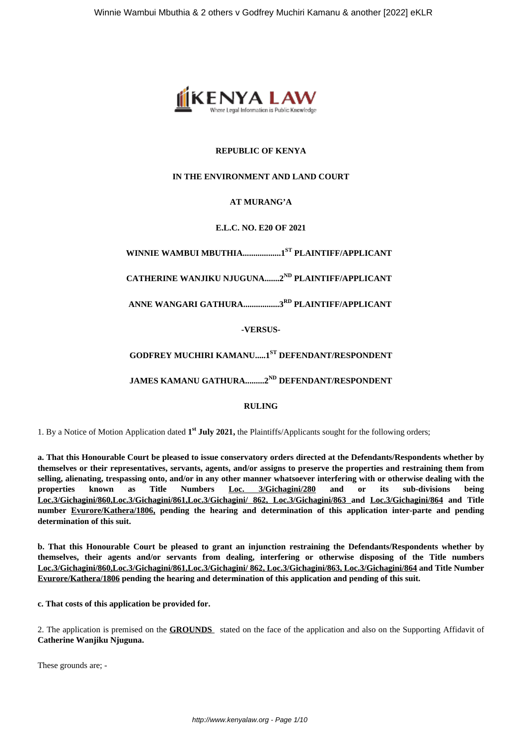

### **REPUBLIC OF KENYA**

#### **IN THE ENVIRONMENT AND LAND COURT**

#### **AT MURANG'A**

#### **E.L.C. NO. E20 OF 2021**

## **WINNIE WAMBUI MBUTHIA..................1ST PLAINTIFF/APPLICANT**

# **CATHERINE WANJIKU NJUGUNA.......2ND PLAINTIFF/APPLICANT**

## **ANNE WANGARI GATHURA.................3RD PLAINTIFF/APPLICANT**

#### **-VERSUS-**

## **GODFREY MUCHIRI KAMANU.....1ST DEFENDANT/RESPONDENT**

## **JAMES KAMANU GATHURA.........2ND DEFENDANT/RESPONDENT**

#### **RULING**

1. By a Notice of Motion Application dated **1 st July 2021,** the Plaintiffs/Applicants sought for the following orders;

**a. That this Honourable Court be pleased to issue conservatory orders directed at the Defendants/Respondents whether by themselves or their representatives, servants, agents, and/or assigns to preserve the properties and restraining them from selling, alienating, trespassing onto, and/or in any other manner whatsoever interfering with or otherwise dealing with the properties known as Title Numbers Loc. 3/Gichagini/280 and or its sub-divisions being Loc.3/Gichagini/860,Loc.3/Gichagini/861,Loc.3/Gichagini/ 862, Loc.3/Gichagini/863 and Loc.3/Gichagini/864 and Title number Evurore/Kathera/1806, pending the hearing and determination of this application inter-parte and pending determination of this suit.**

**b. That this Honourable Court be pleased to grant an injunction restraining the Defendants/Respondents whether by themselves, their agents and/or servants from dealing, interfering or otherwise disposing of the Title numbers Loc.3/Gichagini/860,Loc.3/Gichagini/861,Loc.3/Gichagini/ 862, Loc.3/Gichagini/863, Loc.3/Gichagini/864 and Title Number Evurore/Kathera/1806 pending the hearing and determination of this application and pending of this suit.**

**c. That costs of this application be provided for.**

2. The application is premised on the **GROUNDS** stated on the face of the application and also on the Supporting Affidavit of **Catherine Wanjiku Njuguna.**

These grounds are; -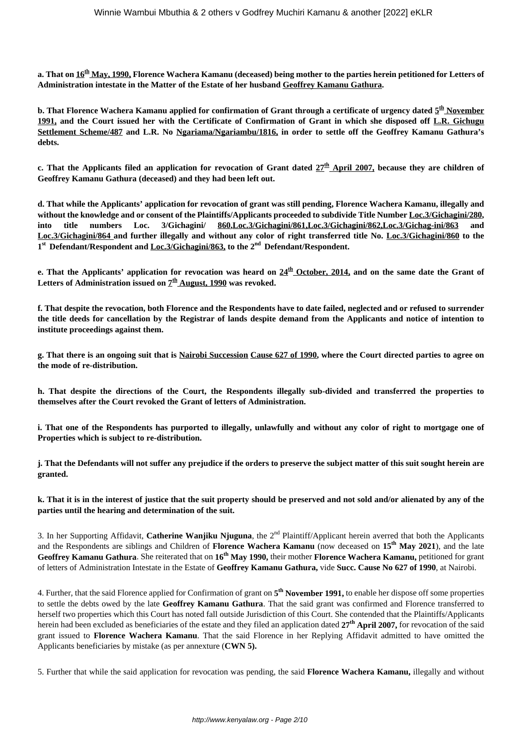**a. That on 16th May, 1990, Florence Wachera Kamanu (deceased) being mother to the parties herein petitioned for Letters of Administration intestate in the Matter of the Estate of her husband Geoffrey Kamanu Gathura.**

b. That Florence Wachera Kamanu applied for confirmation of Grant through a certificate of urgency dated <u>5<sup>th</sup> November</u> **1991, and the Court issued her with the Certificate of Confirmation of Grant in which she disposed off L.R. Gichugu Settlement Scheme/487 and L.R. No Ngariama/Ngariambu/1816, in order to settle off the Geoffrey Kamanu Gathura's debts.**

**c. That the Applicants filed an application for revocation of Grant dated 27th April 2007, because they are children of Geoffrey Kamanu Gathura (deceased) and they had been left out.**

**d. That while the Applicants' application for revocation of grant was still pending, Florence Wachera Kamanu, illegally and without the knowledge and or consent of the Plaintiffs/Applicants proceeded to subdivide Title Number Loc.3/Gichagini/280, into title numbers Loc. 3/Gichagini/ 860,Loc.3/Gichagini/861,Loc.3/Gichagini/862,Loc.3/Gichag-ini/863 and Loc.3/Gichagini/864 and further illegally and without any color of right transferred title No. Loc.3/Gichagini/860 to the 1 st Defendant/Respondent and Loc.3/Gichagini/863, to the 2nd Defendant/Respondent.**

**e. That the Applicants' application for revocation was heard on 24th October, 2014, and on the same date the Grant of** Letters of Administration issued on  $\mathcal{I}^{\text{th}}$  <u>August, 1990</u> was revoked.

**f. That despite the revocation, both Florence and the Respondents have to date failed, neglected and or refused to surrender the title deeds for cancellation by the Registrar of lands despite demand from the Applicants and notice of intention to institute proceedings against them.**

**g. That there is an ongoing suit that is Nairobi Succession Cause 627 of 1990, where the Court directed parties to agree on the mode of re-distribution.**

**h. That despite the directions of the Court, the Respondents illegally sub-divided and transferred the properties to themselves after the Court revoked the Grant of letters of Administration.**

**i. That one of the Respondents has purported to illegally, unlawfully and without any color of right to mortgage one of Properties which is subject to re-distribution.**

**j. That the Defendants will not suffer any prejudice if the orders to preserve the subject matter of this suit sought herein are granted.**

**k. That it is in the interest of justice that the suit property should be preserved and not sold and/or alienated by any of the parties until the hearing and determination of the suit.**

3. In her Supporting Affidavit, **Catherine Wanjiku Njuguna**, the 2<sup>nd</sup> Plaintiff/Applicant herein averred that both the Applicants and the Respondents are siblings and Children of **Florence Wachera Kamanu** (now deceased on **15th May 2021**), and the late **Geoffrey Kamanu Gathura**. She reiterated that on **16th May 1990,** their mother **Florence Wachera Kamanu,** petitioned for grant of letters of Administration Intestate in the Estate of **Geoffrey Kamanu Gathura,** vide **Succ. Cause No 627 of 1990**, at Nairobi.

4. Further, that the said Florence applied for Confirmation of grant on **5 th November 1991,** to enable her dispose off some properties to settle the debts owed by the late **Geoffrey Kamanu Gathura**. That the said grant was confirmed and Florence transferred to herself two properties which this Court has noted fall outside Jurisdiction of this Court. She contended that the Plaintiffs/Applicants herein had been excluded as beneficiaries of the estate and they filed an application dated **27th April 2007,** for revocation of the said grant issued to **Florence Wachera Kamanu**. That the said Florence in her Replying Affidavit admitted to have omitted the Applicants beneficiaries by mistake (as per annexture (**CWN 5).**

5. Further that while the said application for revocation was pending, the said **Florence Wachera Kamanu,** illegally and without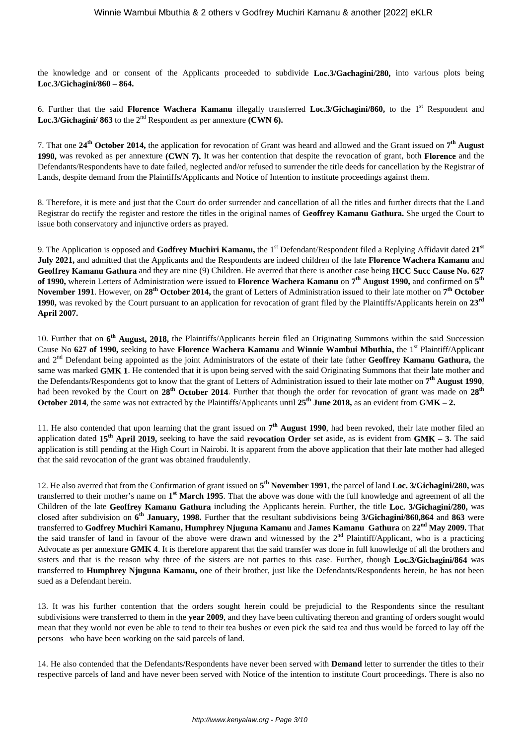the knowledge and or consent of the Applicants proceeded to subdivide **Loc.3/Gachagini/280,** into various plots being **Loc.3/Gichagini/860 – 864.** 

6. Further that the said **Florence Wachera Kamanu** illegally transferred **Loc.3/Gichagini/860,** to the 1st Respondent and Loc.3/Gichagini/ 863 to the 2<sup>nd</sup> Respondent as per annexture **(CWN 6).** 

7. That one **24th October 2014,** the application for revocation of Grant was heard and allowed and the Grant issued on **7 th August 1990,** was revoked as per annexture **(CWN 7).** It was her contention that despite the revocation of grant, both **Florence** and the Defendants/Respondents have to date failed, neglected and/or refused to surrender the title deeds for cancellation by the Registrar of Lands, despite demand from the Plaintiffs/Applicants and Notice of Intention to institute proceedings against them.

8. Therefore, it is mete and just that the Court do order surrender and cancellation of all the titles and further directs that the Land Registrar do rectify the register and restore the titles in the original names of **Geoffrey Kamanu Gathura.** She urged the Court to issue both conservatory and injunctive orders as prayed.

9. The Application is opposed and **Godfrey Muchiri Kamanu**, the 1<sup>st</sup> Defendant/Respondent filed a Replying Affidavit dated 21<sup>st</sup> **July 2021,** and admitted that the Applicants and the Respondents are indeed children of the late **Florence Wachera Kamanu** and **Geoffrey Kamanu Gathura** and they are nine (9) Children. He averred that there is another case being **HCC Succ Cause No. 627 of 1990,** wherein Letters of Administration were issued to **Florence Wachera Kamanu** on **7 th August 1990,** and confirmed on **5 th November 1991**. However, on **28th October 2014,** the grant of Letters of Administration issued to their late mother on **7 th October 1990,** was revoked by the Court pursuant to an application for revocation of grant filed by the Plaintiffs/Applicants herein on **23rd April 2007.**

10. Further that on 6<sup>th</sup> August, 2018, the Plaintiffs/Applicants herein filed an Originating Summons within the said Succession Cause No 627 of 1990, seeking to have **Florence Wachera Kamanu** and **Winnie Wambui Mbuthia**, the 1<sup>st</sup> Plaintiff/Applicant and 2nd Defendant being appointed as the joint Administrators of the estate of their late father **Geoffrey Kamanu Gathura,** the same was marked **GMK 1**. He contended that it is upon being served with the said Originating Summons that their late mother and the Defendants/Respondents got to know that the grant of Letters of Administration issued to their late mother on **7 th August 1990**, had been revoked by the Court on **28th October 2014**. Further that though the order for revocation of grant was made on **28th October 2014**, the same was not extracted by the Plaintiffs/Applicants until **25th June 2018,** as an evident from **GMK – 2.**

11. He also contended that upon learning that the grant issued on **7 th August 1990**, had been revoked, their late mother filed an application dated **15th April 2019,** seeking to have the said **revocation Order** set aside, as is evident from **GMK – 3**. The said application is still pending at the High Court in Nairobi. It is apparent from the above application that their late mother had alleged that the said revocation of the grant was obtained fraudulently.

12. He also averred that from the Confirmation of grant issued on **5 th November 1991**, the parcel of land **Loc. 3/Gichagini/280,** was transferred to their mother's name on **1 st March 1995**. That the above was done with the full knowledge and agreement of all the Children of the late **Geoffrey Kamanu Gathura** including the Applicants herein. Further, the title **Loc. 3/Gichagini/280,** was closed after subdivision on **6 th January, 1998.** Further that the resultant subdivisions being **3/Gichagini/860,864** and **863** were transferred to **Godfrey Muchiri Kamanu, Humphrey Njuguna Kamanu** and **James Kamanu Gathura** on **22nd May 2009.** That the said transfer of land in favour of the above were drawn and witnessed by the  $2^{nd}$  Plaintiff/Applicant, who is a practicing Advocate as per annexture **GMK 4**. It is therefore apparent that the said transfer was done in full knowledge of all the brothers and sisters and that is the reason why three of the sisters are not parties to this case. Further, though **Loc.3/Gichagini/864** was transferred to **Humphrey Njuguna Kamanu,** one of their brother, just like the Defendants/Respondents herein, he has not been sued as a Defendant herein.

13. It was his further contention that the orders sought herein could be prejudicial to the Respondents since the resultant subdivisions were transferred to them in the **year 2009**, and they have been cultivating thereon and granting of orders sought would mean that they would not even be able to tend to their tea bushes or even pick the said tea and thus would be forced to lay off the persons who have been working on the said parcels of land.

14. He also contended that the Defendants/Respondents have never been served with **Demand** letter to surrender the titles to their respective parcels of land and have never been served with Notice of the intention to institute Court proceedings. There is also no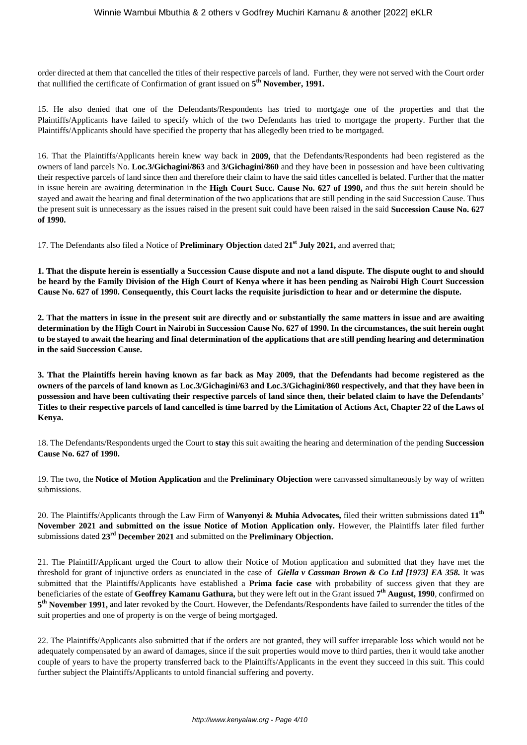order directed at them that cancelled the titles of their respective parcels of land. Further, they were not served with the Court order that nullified the certificate of Confirmation of grant issued on **5 th November, 1991.**

15. He also denied that one of the Defendants/Respondents has tried to mortgage one of the properties and that the Plaintiffs/Applicants have failed to specify which of the two Defendants has tried to mortgage the property. Further that the Plaintiffs/Applicants should have specified the property that has allegedly been tried to be mortgaged.

16. That the Plaintiffs/Applicants herein knew way back in **2009,** that the Defendants/Respondents had been registered as the owners of land parcels No. **Loc.3/Gichagini/863** and **3/Gichagini/860** and they have been in possession and have been cultivating their respective parcels of land since then and therefore their claim to have the said titles cancelled is belated. Further that the matter in issue herein are awaiting determination in the **High Court Succ. Cause No. 627 of 1990,** and thus the suit herein should be stayed and await the hearing and final determination of the two applications that are still pending in the said Succession Cause. Thus the present suit is unnecessary as the issues raised in the present suit could have been raised in the said **Succession Cause No. 627 of 1990.**

17. The Defendants also filed a Notice of **Preliminary Objection** dated **21st July 2021,** and averred that;

**1. That the dispute herein is essentially a Succession Cause dispute and not a land dispute. The dispute ought to and should be heard by the Family Division of the High Court of Kenya where it has been pending as Nairobi High Court Succession Cause No. 627 of 1990. Consequently, this Court lacks the requisite jurisdiction to hear and or determine the dispute.**

**2. That the matters in issue in the present suit are directly and or substantially the same matters in issue and are awaiting determination by the High Court in Nairobi in Succession Cause No. 627 of 1990. In the circumstances, the suit herein ought to be stayed to await the hearing and final determination of the applications that are still pending hearing and determination in the said Succession Cause.**

**3. That the Plaintiffs herein having known as far back as May 2009, that the Defendants had become registered as the owners of the parcels of land known as Loc.3/Gichagini/63 and Loc.3/Gichagini/860 respectively, and that they have been in possession and have been cultivating their respective parcels of land since then, their belated claim to have the Defendants' Titles to their respective parcels of land cancelled is time barred by the Limitation of Actions Act, Chapter 22 of the Laws of Kenya.**

18. The Defendants/Respondents urged the Court to **stay** this suit awaiting the hearing and determination of the pending **Succession Cause No. 627 of 1990.**

19. The two, the **Notice of Motion Application** and the **Preliminary Objection** were canvassed simultaneously by way of written submissions.

20. The Plaintiffs/Applicants through the Law Firm of **Wanyonyi & Muhia Advocates,** filed their written submissions dated **11th November 2021 and submitted on the issue Notice of Motion Application only.** However, the Plaintiffs later filed further submissions dated **23rd December 2021** and submitted on the **Preliminary Objection.**

21. The Plaintiff/Applicant urged the Court to allow their Notice of Motion application and submitted that they have met the threshold for grant of injunctive orders as enunciated in the case of *Giella v Cassman Brown & Co Ltd [1973] EA 358.* It was submitted that the Plaintiffs/Applicants have established a **Prima facie case** with probability of success given that they are beneficiaries of the estate of **Geoffrey Kamanu Gathura,** but they were left out in the Grant issued **7 th August, 1990**, confirmed on **5 th November 1991,** and later revoked by the Court. However, the Defendants/Respondents have failed to surrender the titles of the suit properties and one of property is on the verge of being mortgaged.

22. The Plaintiffs/Applicants also submitted that if the orders are not granted, they will suffer irreparable loss which would not be adequately compensated by an award of damages, since if the suit properties would move to third parties, then it would take another couple of years to have the property transferred back to the Plaintiffs/Applicants in the event they succeed in this suit. This could further subject the Plaintiffs/Applicants to untold financial suffering and poverty.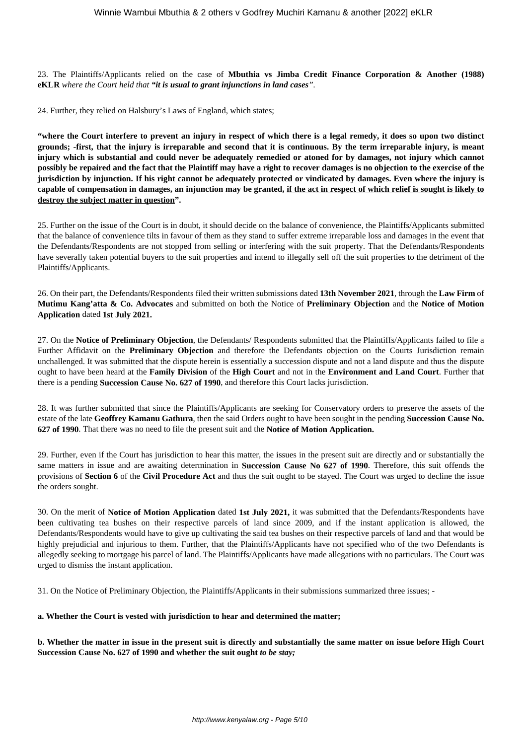23. The Plaintiffs/Applicants relied on the case of **Mbuthia vs Jimba Credit Finance Corporation & Another (1988) eKLR** *where the Court held that "it is usual to grant injunctions in land cases".*

24. Further, they relied on Halsbury's Laws of England, which states;

**"where the Court interfere to prevent an injury in respect of which there is a legal remedy, it does so upon two distinct grounds; -first, that the injury is irreparable and second that it is continuous. By the term irreparable injury, is meant injury which is substantial and could never be adequately remedied or atoned for by damages, not injury which cannot possibly be repaired and the fact that the Plaintiff may have a right to recover damages is no objection to the exercise of the jurisdiction by injunction. If his right cannot be adequately protected or vindicated by damages. Even where the injury is capable of compensation in damages, an injunction may be granted, if the act in respect of which relief is sought is likely to destroy the subject matter in question".**

25. Further on the issue of the Court is in doubt, it should decide on the balance of convenience, the Plaintiffs/Applicants submitted that the balance of convenience tilts in favour of them as they stand to suffer extreme irreparable loss and damages in the event that the Defendants/Respondents are not stopped from selling or interfering with the suit property. That the Defendants/Respondents have severally taken potential buyers to the suit properties and intend to illegally sell off the suit properties to the detriment of the Plaintiffs/Applicants.

26. On their part, the Defendants/Respondents filed their written submissions dated **13th November 2021**, through the **Law Firm** of **Mutimu Kang'atta & Co. Advocates** and submitted on both the Notice of **Preliminary Objection** and the **Notice of Motion Application** dated **1st July 2021.**

27. On the **Notice of Preliminary Objection**, the Defendants/ Respondents submitted that the Plaintiffs/Applicants failed to file a Further Affidavit on the **Preliminary Objection** and therefore the Defendants objection on the Courts Jurisdiction remain unchallenged. It was submitted that the dispute herein is essentially a succession dispute and not a land dispute and thus the dispute ought to have been heard at the **Family Division** of the **High Court** and not in the **Environment and Land Court**. Further that there is a pending **Succession Cause No. 627 of 1990**, and therefore this Court lacks jurisdiction.

28. It was further submitted that since the Plaintiffs/Applicants are seeking for Conservatory orders to preserve the assets of the estate of the late **Geoffrey Kamanu Gathura**, then the said Orders ought to have been sought in the pending **Succession Cause No. 627 of 1990**. That there was no need to file the present suit and the **Notice of Motion Application.**

29. Further, even if the Court has jurisdiction to hear this matter, the issues in the present suit are directly and or substantially the same matters in issue and are awaiting determination in **Succession Cause No 627 of 1990**. Therefore, this suit offends the provisions of **Section 6** of the **Civil Procedure Act** and thus the suit ought to be stayed. The Court was urged to decline the issue the orders sought.

30. On the merit of **Notice of Motion Application** dated **1st July 2021,** it was submitted that the Defendants/Respondents have been cultivating tea bushes on their respective parcels of land since 2009, and if the instant application is allowed, the Defendants/Respondents would have to give up cultivating the said tea bushes on their respective parcels of land and that would be highly prejudicial and injurious to them. Further, that the Plaintiffs/Applicants have not specified who of the two Defendants is allegedly seeking to mortgage his parcel of land. The Plaintiffs/Applicants have made allegations with no particulars. The Court was urged to dismiss the instant application.

31. On the Notice of Preliminary Objection, the Plaintiffs/Applicants in their submissions summarized three issues; -

#### **a. Whether the Court is vested with jurisdiction to hear and determined the matter;**

**b. Whether the matter in issue in the present suit is directly and substantially the same matter on issue before High Court Succession Cause No. 627 of 1990 and whether the suit ought** *to be stay;*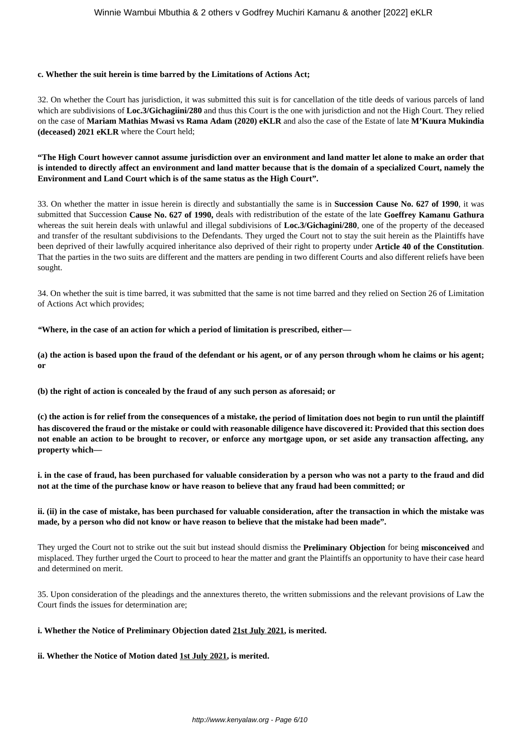#### **c. Whether the suit herein is time barred by the Limitations of Actions Act;**

32. On whether the Court has jurisdiction, it was submitted this suit is for cancellation of the title deeds of various parcels of land which are subdivisions of **Loc.3/Gichagiini/280** and thus this Court is the one with jurisdiction and not the High Court. They relied on the case of **Mariam Mathias Mwasi vs Rama Adam (2020) eKLR** and also the case of the Estate of late **M'Kuura Mukindia (deceased) 2021 eKLR** where the Court held;

**"The High Court however cannot assume jurisdiction over an environment and land matter let alone to make an order that is intended to directly affect an environment and land matter because that is the domain of a specialized Court, namely the Environment and Land Court which is of the same status as the High Court".**

33. On whether the matter in issue herein is directly and substantially the same is in **Succession Cause No. 627 of 1990**, it was submitted that Succession **Cause No. 627 of 1990,** deals with redistribution of the estate of the late **Goeffrey Kamanu Gathura** whereas the suit herein deals with unlawful and illegal subdivisions of **Loc.3/Gichagini/280**, one of the property of the deceased and transfer of the resultant subdivisions to the Defendants. They urged the Court not to stay the suit herein as the Plaintiffs have been deprived of their lawfully acquired inheritance also deprived of their right to property under **Article 40 of the Constitution**. That the parties in the two suits are different and the matters are pending in two different Courts and also different reliefs have been sought.

34. On whether the suit is time barred, it was submitted that the same is not time barred and they relied on Section 26 of Limitation of Actions Act which provides;

*"***Where, in the case of an action for which a period of limitation is prescribed, either—** 

**(a) the action is based upon the fraud of the defendant or his agent, or of any person through whom he claims or his agent; or** 

**(b) the right of action is concealed by the fraud of any such person as aforesaid; or** 

**(c) the action is for relief from the consequences of a mistake, the period of limitation does not begin to run until the plaintiff has discovered the fraud or the mistake or could with reasonable diligence have discovered it: Provided that this section does not enable an action to be brought to recover, or enforce any mortgage upon, or set aside any transaction affecting, any property which—** 

**i. in the case of fraud, has been purchased for valuable consideration by a person who was not a party to the fraud and did not at the time of the purchase know or have reason to believe that any fraud had been committed; or** 

**ii. (ii) in the case of mistake, has been purchased for valuable consideration, after the transaction in which the mistake was made, by a person who did not know or have reason to believe that the mistake had been made".**

They urged the Court not to strike out the suit but instead should dismiss the **Preliminary Objection** for being **misconceived** and misplaced. They further urged the Court to proceed to hear the matter and grant the Plaintiffs an opportunity to have their case heard and determined on merit.

35. Upon consideration of the pleadings and the annextures thereto, the written submissions and the relevant provisions of Law the Court finds the issues for determination are;

#### **i. Whether the Notice of Preliminary Objection dated 21st July 2021, is merited.**

**ii. Whether the Notice of Motion dated 1st July 2021, is merited.**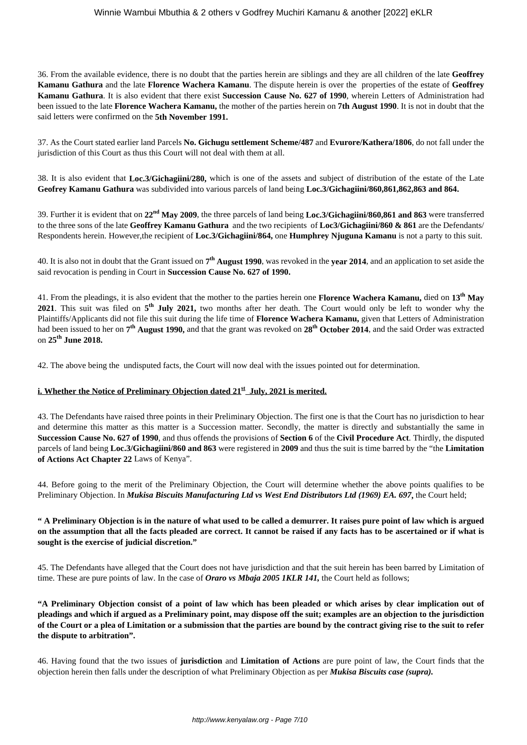36. From the available evidence, there is no doubt that the parties herein are siblings and they are all children of the late **Geoffrey Kamanu Gathura** and the late **Florence Wachera Kamanu**. The dispute herein is over the properties of the estate of **Geoffrey Kamanu Gathura**. It is also evident that there exist **Succession Cause No. 627 of 1990**, wherein Letters of Administration had been issued to the late **Florence Wachera Kamanu,** the mother of the parties herein on **7th August 1990**. It is not in doubt that the said letters were confirmed on the **5th November 1991.**

37. As the Court stated earlier land Parcels **No. Gichugu settlement Scheme/487** and **Evurore/Kathera/1806**, do not fall under the jurisdiction of this Court as thus this Court will not deal with them at all.

38. It is also evident that **Loc.3/Gichagiini/280,** which is one of the assets and subject of distribution of the estate of the Late **Geofrey Kamanu Gathura** was subdivided into various parcels of land being **Loc.3/Gichagiini/860,861,862,863 and 864.**

39. Further it is evident that on **22nd May 2009**, the three parcels of land being **Loc.3/Gichagiini/860,861 and 863** were transferred to the three sons of the late **Geoffrey Kamanu Gathura** and the two recipients of **Loc3/Gichagiini/860 & 861** are the Defendants/ Respondents herein. However,the recipient of **Loc.3/Gichagiini/864,** one **Humphrey Njuguna Kamanu** is not a party to this suit.

40. It is also not in doubt that the Grant issued on **7 th August 1990**, was revoked in the **year 2014**, and an application to set aside the said revocation is pending in Court in **Succession Cause No. 627 of 1990.**

41. From the pleadings, it is also evident that the mother to the parties herein one **Florence Wachera Kamanu,** died on **13th May 2021**. This suit was filed on **5 th July 2021,** two months after her death. The Court would only be left to wonder why the Plaintiffs/Applicants did not file this suit during the life time of **Florence Wachera Kamanu,** given that Letters of Administration had been issued to her on **7 th August 1990,** and that the grant was revoked on **28th October 2014**, and the said Order was extracted on **25th June 2018.**

42. The above being the undisputed facts, the Court will now deal with the issues pointed out for determination.

#### **i. Whether the Notice of Preliminary Objection dated 21st July, 2021 is merited.**

43. The Defendants have raised three points in their Preliminary Objection. The first one is that the Court has no jurisdiction to hear and determine this matter as this matter is a Succession matter. Secondly, the matter is directly and substantially the same in **Succession Cause No. 627 of 1990**, and thus offends the provisions of **Section 6** of the **Civil Procedure Act**. Thirdly, the disputed parcels of land being **Loc.3/Gichagiini/860 and 863** were registered in **2009** and thus the suit is time barred by the "the **Limitation of Actions Act Chapter 22** Laws of Kenya".

44. Before going to the merit of the Preliminary Objection, the Court will determine whether the above points qualifies to be Preliminary Objection. In *Mukisa Biscuits Manufacturing Ltd vs West End Distributors Ltd (1969) EA. 697***,** the Court held;

#### **" A Preliminary Objection is in the nature of what used to be called a demurrer. It raises pure point of law which is argued on the assumption that all the facts pleaded are correct. It cannot be raised if any facts has to be ascertained or if what is sought is the exercise of judicial discretion."**

45. The Defendants have alleged that the Court does not have jurisdiction and that the suit herein has been barred by Limitation of time. These are pure points of law. In the case of *Oraro vs Mbaja 2005 1KLR 141,* the Court held as follows;

**"A Preliminary Objection consist of a point of law which has been pleaded or which arises by clear implication out of pleadings and which if argued as a Preliminary point, may dispose off the suit; examples are an objection to the jurisdiction of the Court or a plea of Limitation or a submission that the parties are bound by the contract giving rise to the suit to refer the dispute to arbitration".** 

46. Having found that the two issues of **jurisdiction** and **Limitation of Actions** are pure point of law, the Court finds that the objection herein then falls under the description of what Preliminary Objection as per *Mukisa Biscuits case (supra).*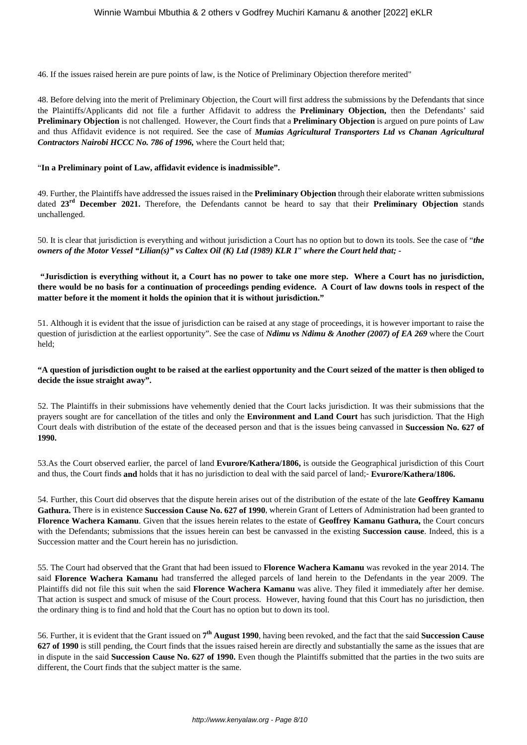46. If the issues raised herein are pure points of law, is the Notice of Preliminary Objection therefore merited"

48. Before delving into the merit of Preliminary Objection, the Court will first address the submissions by the Defendants that since the Plaintiffs/Applicants did not file a further Affidavit to address the **Preliminary Objection,** then the Defendants' said **Preliminary Objection** is not challenged. However, the Court finds that a **Preliminary Objection** is argued on pure points of Law and thus Affidavit evidence is not required. See the case of *Mumias Agricultural Transporters Ltd vs Chanan Agricultural Contractors Nairobi HCCC No. 786 of 1996,* where the Court held that;

#### "**In a Preliminary point of Law, affidavit evidence is inadmissible".**

49. Further, the Plaintiffs have addressed the issues raised in the **Preliminary Objection** through their elaborate written submissions dated **23rd December 2021.** Therefore, the Defendants cannot be heard to say that their **Preliminary Objection** stands unchallenged.

50. It is clear that jurisdiction is everything and without jurisdiction a Court has no option but to down its tools. See the case of "*the owners of the Motor Vessel "Lilian(s)" vs Caltex Oil (K) Ltd (1989) KLR 1*" *where the Court held that; -*

**"Jurisdiction is everything without it, a Court has no power to take one more step. Where a Court has no jurisdiction, there would be no basis for a continuation of proceedings pending evidence. A Court of law downs tools in respect of the matter before it the moment it holds the opinion that it is without jurisdiction."**

51. Although it is evident that the issue of jurisdiction can be raised at any stage of proceedings, it is however important to raise the question of jurisdiction at the earliest opportunity". See the case of *Ndimu vs Ndimu & Another (2007) of EA 269* where the Court held;

#### **"A question of jurisdiction ought to be raised at the earliest opportunity and the Court seized of the matter is then obliged to decide the issue straight away".**

52. The Plaintiffs in their submissions have vehemently denied that the Court lacks jurisdiction. It was their submissions that the prayers sought are for cancellation of the titles and only the **Environment and Land Court** has such jurisdiction. That the High Court deals with distribution of the estate of the deceased person and that is the issues being canvassed in **Succession No. 627 of 1990.**

53.As the Court observed earlier, the parcel of land **Evurore/Kathera/1806,** is outside the Geographical jurisdiction of this Court and thus, the Court finds **and** holds that it has no jurisdiction to deal with the said parcel of land;- **Evurore/Kathera/1806.**

54. Further, this Court did observes that the dispute herein arises out of the distribution of the estate of the late **Geoffrey Kamanu Gathura.** There is in existence **Succession Cause No. 627 of 1990**, wherein Grant of Letters of Administration had been granted to **Florence Wachera Kamanu**. Given that the issues herein relates to the estate of **Geoffrey Kamanu Gathura,** the Court concurs with the Defendants; submissions that the issues herein can best be canvassed in the existing **Succession cause**. Indeed, this is a Succession matter and the Court herein has no jurisdiction.

55. The Court had observed that the Grant that had been issued to **Florence Wachera Kamanu** was revoked in the year 2014. The said **Florence Wachera Kamanu** had transferred the alleged parcels of land herein to the Defendants in the year 2009. The Plaintiffs did not file this suit when the said **Florence Wachera Kamanu** was alive. They filed it immediately after her demise. That action is suspect and smuck of misuse of the Court process. However, having found that this Court has no jurisdiction, then the ordinary thing is to find and hold that the Court has no option but to down its tool.

56. Further, it is evident that the Grant issued on **7 th August 1990**, having been revoked, and the fact that the said **Succession Cause 627 of 1990** is still pending, the Court finds that the issues raised herein are directly and substantially the same as the issues that are in dispute in the said **Succession Cause No. 627 of 1990.** Even though the Plaintiffs submitted that the parties in the two suits are different, the Court finds that the subject matter is the same.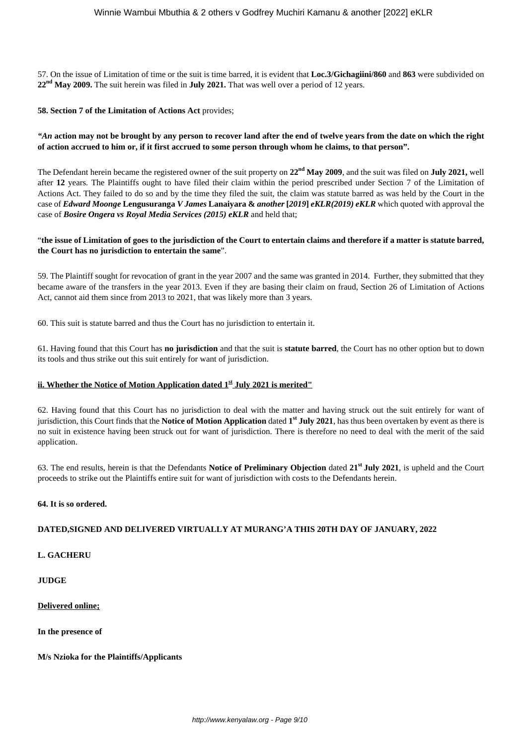57. On the issue of Limitation of time or the suit is time barred, it is evident that **Loc.3/Gichagiini/860** and **863** were subdivided on **22nd May 2009.** The suit herein was filed in **July 2021.** That was well over a period of 12 years.

#### **58. Section 7 of the Limitation of Actions Act** provides;

*"An* **action may not be brought by any person to recover land after the end of twelve years from the date on which the right of action accrued to him or, if it first accrued to some person through whom he claims, to that person".**

The Defendant herein became the registered owner of the suit property on **22nd May 2009**, and the suit was filed on **July 2021,** well after **12** years. The Plaintiffs ought to have filed their claim within the period prescribed under Section 7 of the Limitation of Actions Act. They failed to do so and by the time they filed the suit, the claim was statute barred as was held by the Court in the case of *Edward Moonge* **Lengusuranga** *V James* **Lanaiyara &** *another* **[***2019***]** *eKLR(2019) eKLR* which quoted with approval the case of *Bosire Ongera vs Royal Media Services (2015) eKLR* and held that;

#### "**the issue of Limitation of goes to the jurisdiction of the Court to entertain claims and therefore if a matter is statute barred, the Court has no jurisdiction to entertain the same**".

59. The Plaintiff sought for revocation of grant in the year 2007 and the same was granted in 2014. Further, they submitted that they became aware of the transfers in the year 2013. Even if they are basing their claim on fraud, Section 26 of Limitation of Actions Act, cannot aid them since from 2013 to 2021, that was likely more than 3 years.

60. This suit is statute barred and thus the Court has no jurisdiction to entertain it.

61. Having found that this Court has **no jurisdiction** and that the suit is **statute barred**, the Court has no other option but to down its tools and thus strike out this suit entirely for want of jurisdiction.

#### **ii. Whether the Notice of Motion Application dated 1st July 2021 is merited"**

62. Having found that this Court has no jurisdiction to deal with the matter and having struck out the suit entirely for want of jurisdiction, this Court finds that the **Notice of Motion Application** dated **1 st July 2021**, has thus been overtaken by event as there is no suit in existence having been struck out for want of jurisdiction. There is therefore no need to deal with the merit of the said application.

63. The end results, herein is that the Defendants **Notice of Preliminary Objection** dated **21st July 2021**, is upheld and the Court proceeds to strike out the Plaintiffs entire suit for want of jurisdiction with costs to the Defendants herein.

#### **64. It is so ordered.**

#### **DATED,SIGNED AND DELIVERED VIRTUALLY AT MURANG'A THIS 20TH DAY OF JANUARY, 2022**

#### **L. GACHERU**

**JUDGE**

#### **Delivered online;**

**In the presence of**

**M/s Nzioka for the Plaintiffs/Applicants**